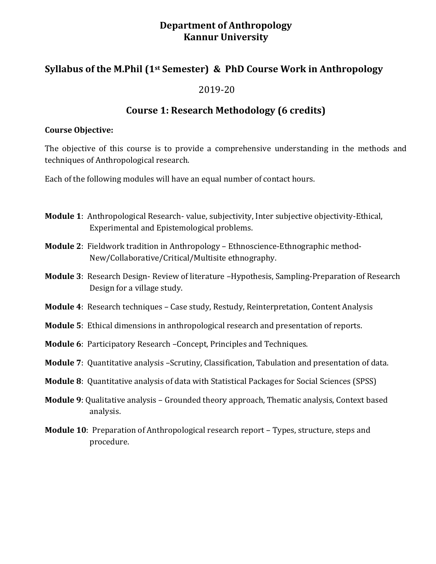### **Department of Anthropology Kannur University**

## **Syllabus of the M.Phil (1st Semester) & PhD Course Work in Anthropology**

#### 2019-20

## **Course 1: Research Methodology (6 credits)**

#### **Course Objective:**

The objective of this course is to provide a comprehensive understanding in the methods and techniques of Anthropological research.

Each of the following modules will have an equal number of contact hours.

- **Module 1**: Anthropological Research- value, subjectivity, Inter subjective objectivity-Ethical, Experimental and Epistemological problems.
- **Module 2**: Fieldwork tradition in Anthropology Ethnoscience-Ethnographic method-New/Collaborative/Critical/Multisite ethnography.
- **Module 3**: Research Design- Review of literature –Hypothesis, Sampling-Preparation of Research Design for a village study.
- **Module 4**: Research techniques Case study, Restudy, Reinterpretation, Content Analysis
- **Module 5**: Ethical dimensions in anthropological research and presentation of reports.
- **Module 6**: Participatory Research –Concept, Principles and Techniques.
- **Module 7**: Quantitative analysis –Scrutiny, Classification, Tabulation and presentation of data.
- **Module 8**: Quantitative analysis of data with Statistical Packages for Social Sciences (SPSS)
- **Module 9**: Qualitative analysis Grounded theory approach, Thematic analysis, Context based analysis.
- **Module 10**: Preparation of Anthropological research report Types, structure, steps and procedure.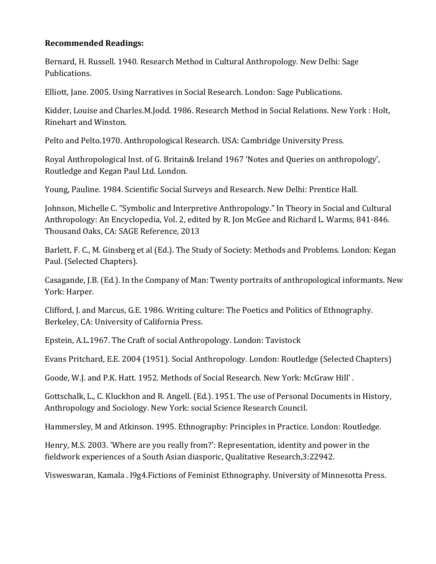#### **Recommended Readings:**

Bernard, H. Russell. 1940. Research Method in Cultural Anthropology. New Delhi: Sage Publications.

Elliott, Jane. 2005. Using Narratives in Social Research. London: Sage Publications.

Kidder, Louise and Charles.M.Jodd. 1986. Research Method in Social Relations. New York : Holt, Rinehart and Winston.

Pelto and Pelto.1970. Anthropological Research. USA: Cambridge University Press.

Royal Anthropological Inst. of G. Britain& Ireland 1967 'Notes and Queries on anthropology', Routledge and Kegan Paul Ltd. London.

Young, Pauline. 1984. Scientific Social Surveys and Research. New Delhi: Prentice Hall.

Johnson, Michelle C. "Symbolic and Interpretive Anthropology." In Theory in Social and Cultural Anthropology: An Encyclopedia, Vol. 2, edited by R. Jon McGee and Richard L. Warms, 841-846. Thousand Oaks, CA: SAGE Reference, 2013

Barlett, F. C., M. Ginsberg et al (Ed.). The Study of Society: Methods and Problems. London: Kegan Paul. (Selected Chapters).

Casagande, J.B. (Ed.). In the Company of Man: Twenty portraits of anthropological informants. New York: Harper.

Clifford, J. and Marcus, G.E. 1986. Writing culture: The Poetics and Politics of Ethnography. Berkeley, CA: University of California Press.

Epstein, A.L.1967. The Craft of social Anthropology. London: Tavistock

Evans Pritchard, E.E. 2004 (1951). Social Anthropology. London: Routledge (Selected Chapters)

Goode, W.J. and P.K. Hatt. 1952. Methods of Social Research. New York: McGraw Hill' .

Gottschalk, L., C. Kluckhon and R. Angell. (Ed.). 1951. The use of Personal Documents in History, Anthropology and Sociology. New York: social Science Research Council.

Hammersley, M and Atkinson. 1995. Ethnography: Principles in Practice. London: Routledge.

Henry, M.S. 2003. 'Where are you really from?': Representation, identity and power in the fieldwork experiences of a South Asian diasporic, Qualitative Research,3:22942.

Visweswaran, Kamala . l9g4.Fictions of Feminist Ethnography. University of Minnesotta Press.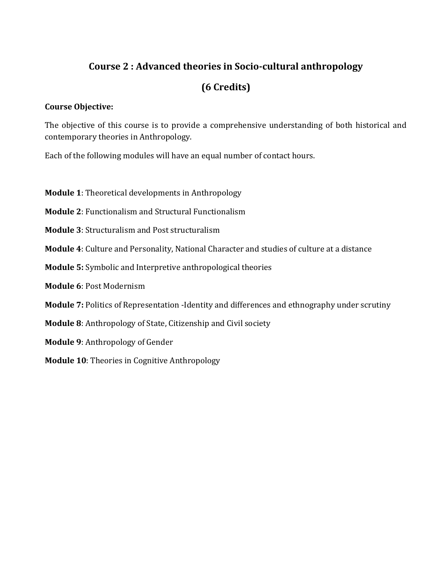# **Course 2 : Advanced theories in Socio-cultural anthropology**

# **(6 Credits)**

#### **Course Objective:**

The objective of this course is to provide a comprehensive understanding of both historical and contemporary theories in Anthropology.

Each of the following modules will have an equal number of contact hours.

- **Module 1**: Theoretical developments in Anthropology
- **Module 2**: Functionalism and Structural Functionalism
- **Module 3**: Structuralism and Post structuralism
- **Module 4**: Culture and Personality, National Character and studies of culture at a distance
- **Module 5:** Symbolic and Interpretive anthropological theories
- **Module 6**: Post Modernism
- **Module 7:** Politics of Representation -Identity and differences and ethnography under scrutiny
- **Module 8**: Anthropology of State, Citizenship and Civil society
- **Module 9**: Anthropology of Gender
- **Module 10**: Theories in Cognitive Anthropology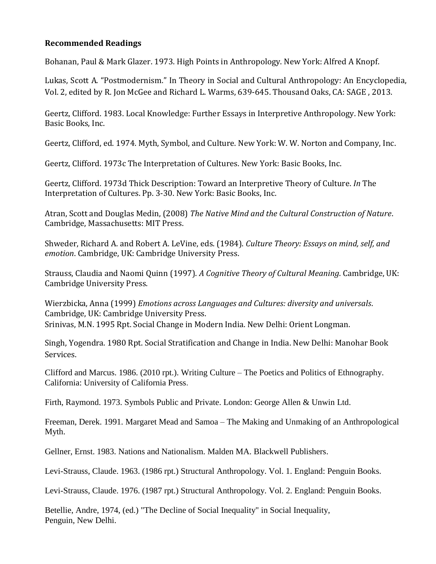#### **Recommended Readings**

Bohanan, Paul & Mark Glazer. 1973. High Points in Anthropology. New York: Alfred A Knopf.

Lukas, Scott A. "Postmodernism." In Theory in Social and Cultural Anthropology: An Encyclopedia, Vol. 2, edited by R. Jon McGee and Richard L. Warms, 639-645. Thousand Oaks, CA: SAGE , 2013.

Geertz, Clifford. 1983. Local Knowledge: Further Essays in Interpretive Anthropology. New York: Basic Books, Inc.

Geertz, Clifford, ed. 1974. Myth, Symbol, and Culture. New York: W. W. Norton and Company, Inc.

Geertz, Clifford. 1973c The Interpretation of Cultures. New York: Basic Books, Inc.

Geertz, Clifford. 1973d Thick Description: Toward an Interpretive Theory of Culture. *In* The Interpretation of Cultures. Pp. 3-30. New York: Basic Books, Inc.

Atran, Scott and Douglas Medin, (2008) *The Native Mind and the Cultural Construction of Nature*. Cambridge, Massachusetts: MIT Press.

Shweder, Richard A. and Robert A. LeVine, eds. (1984). *Culture Theory: Essays on mind, self, and emotion*. Cambridge, UK: Cambridge University Press.

Strauss, Claudia and Naomi Quinn (1997). *A Cognitive Theory of Cultural Meaning*. Cambridge, UK: Cambridge University Press.

Wierzbicka, Anna (1999) *Emotions across Languages and Cultures: diversity and universals*. Cambridge, UK: Cambridge University Press. Srinivas, M.N. 1995 Rpt. Social Change in Modern India. New Delhi: Orient Longman.

Singh, Yogendra. 1980 Rpt. Social Stratification and Change in India. New Delhi: Manohar Book Services.

Clifford and Marcus. 1986. (2010 rpt.). Writing Culture – The Poetics and Politics of Ethnography. California: University of California Press.

Firth, Raymond. 1973. Symbols Public and Private. London: George Allen & Unwin Ltd.

Freeman, Derek. 1991. Margaret Mead and Samoa – The Making and Unmaking of an Anthropological Myth.

Gellner, Ernst. 1983. Nations and Nationalism. Malden MA. Blackwell Publishers.

Levi-Strauss, Claude. 1963. (1986 rpt.) Structural Anthropology. Vol. 1. England: Penguin Books.

Levi-Strauss, Claude. 1976. (1987 rpt.) Structural Anthropology. Vol. 2. England: Penguin Books.

Betellie, Andre, 1974, (ed.) "The Decline of Social Inequality" in Social Inequality, Penguin, New Delhi.